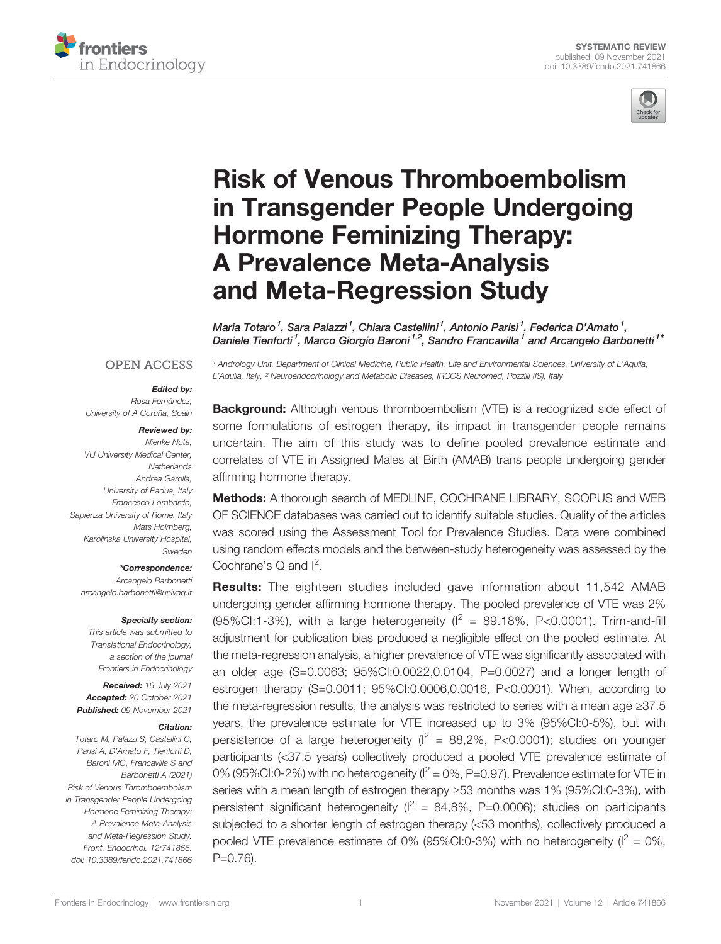



# [Risk of Venous Thromboembolism](https://www.frontiersin.org/articles/10.3389/fendo.2021.741866/full) [in Transgender People Undergoing](https://www.frontiersin.org/articles/10.3389/fendo.2021.741866/full) [Hormone Feminizing Therapy:](https://www.frontiersin.org/articles/10.3389/fendo.2021.741866/full) [A Prevalence Meta-Analysis](https://www.frontiersin.org/articles/10.3389/fendo.2021.741866/full) [and Meta-Regression Study](https://www.frontiersin.org/articles/10.3389/fendo.2021.741866/full)

Maria Totaro<sup>1</sup>, Sara Palazzi<sup>1</sup>, Chiara Castellini<sup>1</sup>, Antonio Parisi<sup>1</sup>, Federica D'Amato<sup>1</sup>, Daniele Tienforti<sup>1</sup>, Marco Giorgio Baroni<sup>1,2</sup>, Sandro Francavilla<sup>1</sup> and Arcangelo Barbonetti<sup>1\*</sup>

<sup>1</sup> Andrology Unit, Department of Clinical Medicine, Public Health, Life and Environmental Sciences, University of L'Aquila,

L'Aquila, Italy, <sup>2</sup> Neuroendocrinology and Metabolic Diseases, IRCCS Neuromed, Pozzilli (IS), Italy

#### **OPEN ACCESS**

#### Edited by:

Rosa Fernández University of A Coruña, Spain

#### Reviewed by:

Nienke Nota, VU University Medical Center, **Netherlands** Andrea Garolla, University of Padua, Italy Francesco Lombardo, Sapienza University of Rome, Italy Mats Holmberg, Karolinska University Hospital, Sweden

\*Correspondence:

Arcangelo Barbonetti [arcangelo.barbonetti@univaq.it](mailto:arcangelo.barbonetti@univaq.it)

#### Specialty section:

This article was submitted to Translational Endocrinology, a section of the journal Frontiers in Endocrinology

Received: 16 July 2021 Accepted: 20 October 2021 Published: 09 November 2021

#### Citation:

Totaro M, Palazzi S, Castellini C, Parisi A, D'Amato F, Tienforti D, Baroni MG, Francavilla S and Barbonetti A (2021) Risk of Venous Thromboembolism in Transgender People Undergoing Hormone Feminizing Therapy: A Prevalence Meta-Analysis and Meta-Regression Study. Front. Endocrinol. 12:741866. [doi: 10.3389/fendo.2021.741866](https://doi.org/10.3389/fendo.2021.741866)

**Background:** Although venous thromboembolism (VTE) is a recognized side effect of some formulations of estrogen therapy, its impact in transgender people remains uncertain. The aim of this study was to define pooled prevalence estimate and correlates of VTE in Assigned Males at Birth (AMAB) trans people undergoing gender affirming hormone therapy.

Methods: A thorough search of MEDLINE, COCHRANE LIBRARY, SCOPUS and WEB OF SCIENCE databases was carried out to identify suitable studies. Quality of the articles was scored using the Assessment Tool for Prevalence Studies. Data were combined using random effects models and the between-study heterogeneity was assessed by the Cochrane's  $Q$  and  $I^2$ .

**Results:** The eighteen studies included gave information about 11,542 AMAB undergoing gender affirming hormone therapy. The pooled prevalence of VTE was 2% (95%CI:1-3%), with a large heterogeneity  $I^2 = 89.18\%$ , P<0.0001). Trim-and-fill adjustment for publication bias produced a negligible effect on the pooled estimate. At the meta-regression analysis, a higher prevalence of VTE was significantly associated with an older age (S=0.0063; 95%CI:0.0022,0.0104, P=0.0027) and a longer length of estrogen therapy (S=0.0011; 95%CI:0.0006,0.0016, P<0.0001). When, according to the meta-regression results, the analysis was restricted to series with a mean age ≥37.5 years, the prevalence estimate for VTE increased up to 3% (95%CI:0-5%), but with persistence of a large heterogeneity ( $I^2 = 88,2\%$ , P<0.0001); studies on younger participants (<37.5 years) collectively produced a pooled VTE prevalence estimate of 0% (95%CI:0-2%) with no heterogeneity ( $I^2 = 0$ %, P=0.97). Prevalence estimate for VTE in series with a mean length of estrogen therapy ≥53 months was 1% (95%CI:0-3%), with persistent significant heterogeneity ( $I^2 = 84,8\%$ , P=0.0006); studies on participants subjected to a shorter length of estrogen therapy (<53 months), collectively produced a pooled VTE prevalence estimate of 0% (95%CI:0-3%) with no heterogeneity ( $I^2 = 0$ %, P=0.76).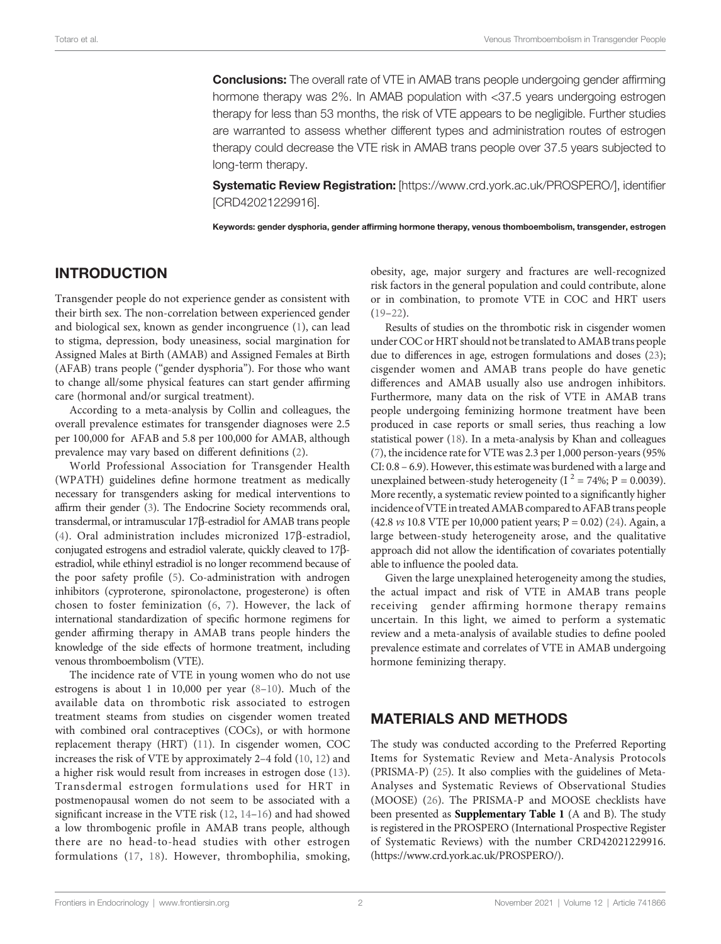**Conclusions:** The overall rate of VTE in AMAB trans people undergoing gender affirming hormone therapy was 2%. In AMAB population with <37.5 years undergoing estrogen therapy for less than 53 months, the risk of VTE appears to be negligible. Further studies are warranted to assess whether different types and administration routes of estrogen therapy could decrease the VTE risk in AMAB trans people over 37.5 years subjected to long-term therapy.

Systematic Review Registration: [<https://www.crd.york.ac.uk/PROSPERO/>], identifier [CRD42021229916].

Keywords: gender dysphoria, gender affirming hormone therapy, venous thomboembolism, transgender, estrogen

### INTRODUCTION

Transgender people do not experience gender as consistent with their birth sex. The non-correlation between experienced gender and biological sex, known as gender incongruence ([1](#page-9-0)), can lead to stigma, depression, body uneasiness, social margination for Assigned Males at Birth (AMAB) and Assigned Females at Birth (AFAB) trans people ("gender dysphoria"). For those who want to change all/some physical features can start gender affirming care (hormonal and/or surgical treatment).

According to a meta-analysis by Collin and colleagues, the overall prevalence estimates for transgender diagnoses were 2.5 per 100,000 for AFAB and 5.8 per 100,000 for AMAB, although prevalence may vary based on different definitions ([2](#page-9-0)).

World Professional Association for Transgender Health (WPATH) guidelines define hormone treatment as medically necessary for transgenders asking for medical interventions to affirm their gender [\(3](#page-9-0)). The Endocrine Society recommends oral, transdermal, or intramuscular 17b-estradiol for AMAB trans people ([4\)](#page-9-0). Oral administration includes micronized  $17\beta$ -estradiol, conjugated estrogens and estradiol valerate, quickly cleaved to 17bestradiol, while ethinyl estradiol is no longer recommend because of the poor safety profile [\(5\)](#page-9-0). Co-administration with androgen inhibitors (cyproterone, spironolactone, progesterone) is often chosen to foster feminization ([6,](#page-9-0) [7](#page-9-0)). However, the lack of international standardization of specific hormone regimens for gender affirming therapy in AMAB trans people hinders the knowledge of the side effects of hormone treatment, including venous thromboembolism (VTE).

The incidence rate of VTE in young women who do not use estrogens is about 1 in 10,000 per year ([8](#page-9-0)–[10](#page-9-0)). Much of the available data on thrombotic risk associated to estrogen treatment steams from studies on cisgender women treated with combined oral contraceptives (COCs), or with hormone replacement therapy (HRT) ([11](#page-9-0)). In cisgender women, COC increases the risk of VTE by approximately 2–4 fold ([10,](#page-9-0) [12](#page-9-0)) and a higher risk would result from increases in estrogen dose ([13\)](#page-9-0). Transdermal estrogen formulations used for HRT in postmenopausal women do not seem to be associated with a significant increase in the VTE risk ([12,](#page-9-0) [14](#page-9-0)–[16](#page-9-0)) and had showed a low thrombogenic profile in AMAB trans people, although there are no head-to-head studies with other estrogen formulations ([17,](#page-9-0) [18\)](#page-9-0). However, thrombophilia, smoking,

obesity, age, major surgery and fractures are well-recognized risk factors in the general population and could contribute, alone or in combination, to promote VTE in COC and HRT users [\(19](#page-9-0)–[22](#page-9-0)).

Results of studies on the thrombotic risk in cisgender women under COC or HRT should not be translated to AMAB trans people due to differences in age, estrogen formulations and doses ([23\)](#page-9-0); cisgender women and AMAB trans people do have genetic differences and AMAB usually also use androgen inhibitors. Furthermore, many data on the risk of VTE in AMAB trans people undergoing feminizing hormone treatment have been produced in case reports or small series, thus reaching a low statistical power [\(18](#page-9-0)). In a meta-analysis by Khan and colleagues [\(7\)](#page-9-0), the incidence rate for VTE was 2.3 per 1,000 person-years (95% CI: 0.8 – 6.9). However, this estimate was burdened with a large and unexplained between-study heterogeneity ( $I^2 = 74\%$ ; P = 0.0039). More recently, a systematic review pointed to a significantly higher incidence of VTE in treated AMAB compared to AFAB trans people (42.8 vs 10.8 VTE per 10,000 patient years; P = 0.02) [\(24](#page-9-0)). Again, a large between-study heterogeneity arose, and the qualitative approach did not allow the identification of covariates potentially able to influence the pooled data.

Given the large unexplained heterogeneity among the studies, the actual impact and risk of VTE in AMAB trans people receiving gender affirming hormone therapy remains uncertain. In this light, we aimed to perform a systematic review and a meta-analysis of available studies to define pooled prevalence estimate and correlates of VTE in AMAB undergoing hormone feminizing therapy.

### MATERIALS AND METHODS

The study was conducted according to the Preferred Reporting Items for Systematic Review and Meta-Analysis Protocols (PRISMA-P) ([25\)](#page-9-0). It also complies with the guidelines of Meta-Analyses and Systematic Reviews of Observational Studies (MOOSE) [\(26\)](#page-9-0). The PRISMA-P and MOOSE checklists have been presented as [Supplementary Table 1](#page-8-0) (A and B). The study is registered in the PROSPERO (International Prospective Register of Systematic Reviews) with the number CRD42021229916. [\(https://www.crd.york.ac.uk/PROSPERO/](https://www.crd.york.ac.uk/PROSPERO/)).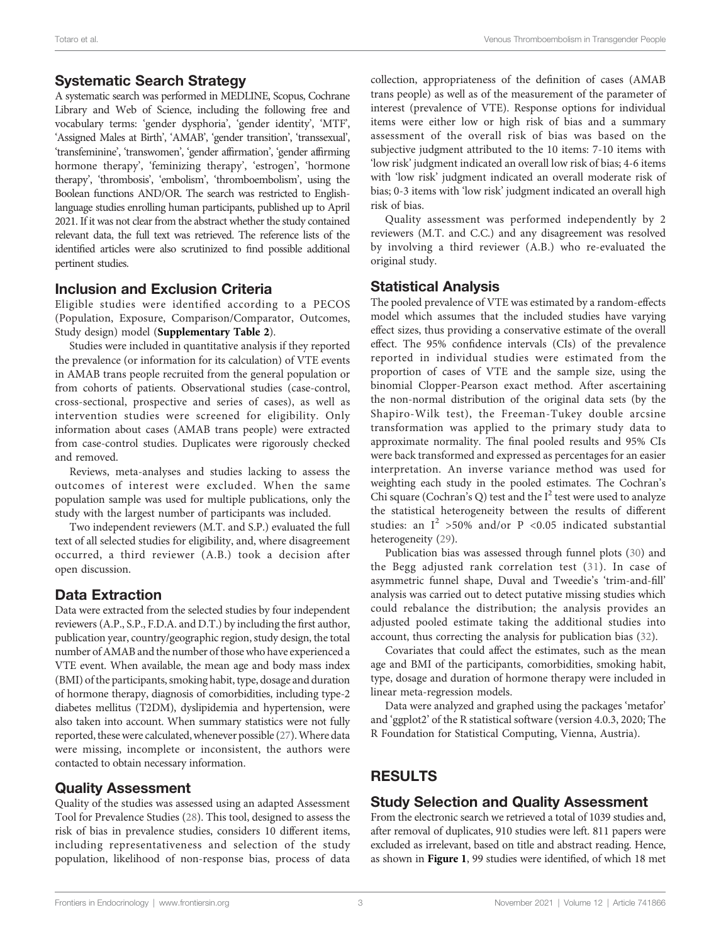### Systematic Search Strategy

A systematic search was performed in MEDLINE, Scopus, Cochrane Library and Web of Science, including the following free and vocabulary terms: 'gender dysphoria', 'gender identity', 'MTF', 'Assigned Males at Birth', 'AMAB', 'gender transition', 'transsexual', 'transfeminine', 'transwomen', 'gender affirmation', 'gender affirming hormone therapy', 'feminizing therapy', 'estrogen', 'hormone therapy', 'thrombosis', 'embolism', 'thromboembolism', using the Boolean functions AND/OR. The search was restricted to Englishlanguage studies enrolling human participants, published up to April 2021. If it was not clear from the abstract whether the study contained relevant data, the full text was retrieved. The reference lists of the identified articles were also scrutinized to find possible additional pertinent studies.

### Inclusion and Exclusion Criteria

Eligible studies were identified according to a PECOS (Population, Exposure, Comparison/Comparator, Outcomes, Study design) model ([Supplementary Table 2](#page-8-0)).

Studies were included in quantitative analysis if they reported the prevalence (or information for its calculation) of VTE events in AMAB trans people recruited from the general population or from cohorts of patients. Observational studies (case-control, cross-sectional, prospective and series of cases), as well as intervention studies were screened for eligibility. Only information about cases (AMAB trans people) were extracted from case-control studies. Duplicates were rigorously checked and removed.

Reviews, meta-analyses and studies lacking to assess the outcomes of interest were excluded. When the same population sample was used for multiple publications, only the study with the largest number of participants was included.

Two independent reviewers (M.T. and S.P.) evaluated the full text of all selected studies for eligibility, and, where disagreement occurred, a third reviewer (A.B.) took a decision after open discussion.

# Data Extraction

Data were extracted from the selected studies by four independent reviewers (A.P., S.P., F.D.A. and D.T.) by including the first author, publication year, country/geographic region, study design, the total number of AMAB and the number of those who have experienced a VTE event. When available, the mean age and body mass index (BMI) of the participants, smoking habit, type, dosage and duration of hormone therapy, diagnosis of comorbidities, including type-2 diabetes mellitus (T2DM), dyslipidemia and hypertension, were also taken into account. When summary statistics were not fully reported, these were calculated, whenever possible [\(27\)](#page-9-0).Where data were missing, incomplete or inconsistent, the authors were contacted to obtain necessary information.

### Quality Assessment

Quality of the studies was assessed using an adapted Assessment Tool for Prevalence Studies ([28\)](#page-9-0). This tool, designed to assess the risk of bias in prevalence studies, considers 10 different items, including representativeness and selection of the study population, likelihood of non-response bias, process of data collection, appropriateness of the definition of cases (AMAB trans people) as well as of the measurement of the parameter of interest (prevalence of VTE). Response options for individual items were either low or high risk of bias and a summary assessment of the overall risk of bias was based on the subjective judgment attributed to the 10 items: 7-10 items with 'low risk' judgment indicated an overall low risk of bias; 4-6 items with 'low risk' judgment indicated an overall moderate risk of bias; 0-3 items with 'low risk' judgment indicated an overall high risk of bias.

Quality assessment was performed independently by 2 reviewers (M.T. and C.C.) and any disagreement was resolved by involving a third reviewer (A.B.) who re-evaluated the original study.

### Statistical Analysis

The pooled prevalence of VTE was estimated by a random-effects model which assumes that the included studies have varying effect sizes, thus providing a conservative estimate of the overall effect. The 95% confidence intervals (CIs) of the prevalence reported in individual studies were estimated from the proportion of cases of VTE and the sample size, using the binomial Clopper-Pearson exact method. After ascertaining the non-normal distribution of the original data sets (by the Shapiro-Wilk test), the Freeman-Tukey double arcsine transformation was applied to the primary study data to approximate normality. The final pooled results and 95% CIs were back transformed and expressed as percentages for an easier interpretation. An inverse variance method was used for weighting each study in the pooled estimates. The Cochran's Chi square (Cochran's Q) test and the  $I^2$  test were used to analyze the statistical heterogeneity between the results of different studies: an  $I^2$  >50% and/or P <0.05 indicated substantial heterogeneity [\(29\)](#page-9-0).

Publication bias was assessed through funnel plots [\(30](#page-9-0)) and the Begg adjusted rank correlation test ([31\)](#page-9-0). In case of asymmetric funnel shape, Duval and Tweedie's 'trim-and-fill' analysis was carried out to detect putative missing studies which could rebalance the distribution; the analysis provides an adjusted pooled estimate taking the additional studies into account, thus correcting the analysis for publication bias ([32](#page-9-0)).

Covariates that could affect the estimates, such as the mean age and BMI of the participants, comorbidities, smoking habit, type, dosage and duration of hormone therapy were included in linear meta-regression models.

Data were analyzed and graphed using the packages 'metafor' and 'ggplot2' of the R statistical software (version 4.0.3, 2020; The R Foundation for Statistical Computing, Vienna, Austria).

# RESULTS

# Study Selection and Quality Assessment

From the electronic search we retrieved a total of 1039 studies and, after removal of duplicates, 910 studies were left. 811 papers were excluded as irrelevant, based on title and abstract reading. Hence, as shown in [Figure 1](#page-3-0), 99 studies were identified, of which 18 met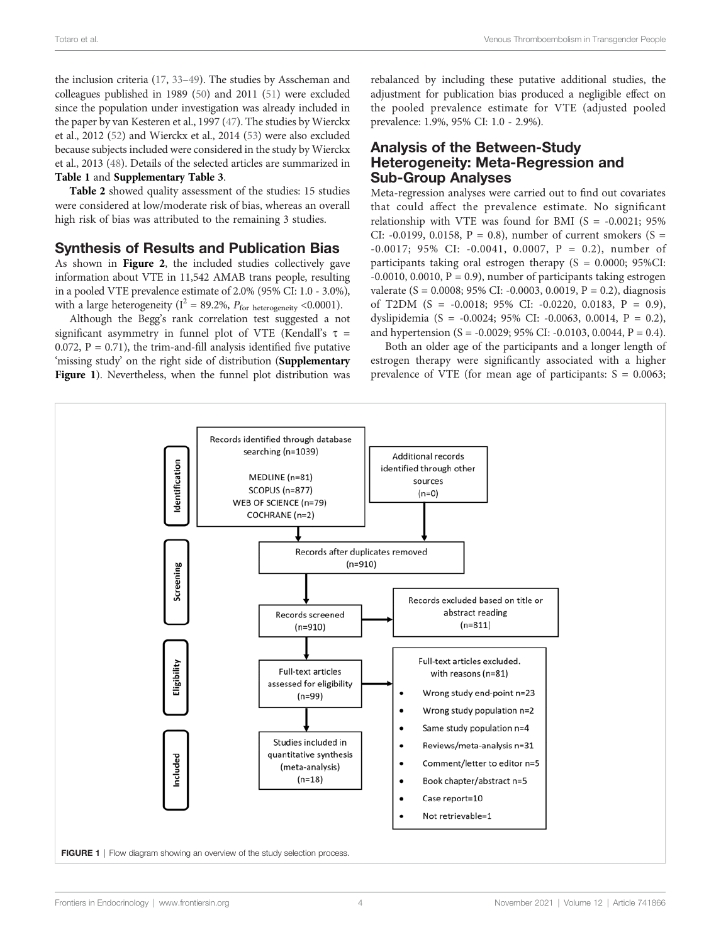<span id="page-3-0"></span>the inclusion criteria [\(17](#page-9-0), [33](#page-9-0)–[49\)](#page-10-0). The studies by Asscheman and colleagues published in 1989 ([50\)](#page-10-0) and 2011 ([51](#page-10-0)) were excluded since the population under investigation was already included in the paper by van Kesteren et al., 1997 ([47](#page-10-0)). The studies by Wierckx et al., 2012 ([52\)](#page-10-0) and Wierckx et al., 2014 [\(53\)](#page-10-0) were also excluded because subjects included were considered in the study by Wierckx et al., 2013 [\(48\)](#page-10-0). Details of the selected articles are summarized in [Ta](#page-4-0)[ble](#page-5-0)[1](#page-5-0) and [Supplementary Table 3](#page-8-0).

Table 2 showed quality assessment of the studies: 15 studies were considered at low/moderate risk of bias, whereas an overall high risk of bias was attributed to the remaining 3 studies.

#### Synthesis of Results and Publication Bias

As shown in [Figure 2](#page-5-0), the included studies collectively gave information about VTE in 11,542 AMAB trans people, resulting in a pooled VTE prevalence estimate of 2.0% (95% CI: 1.0 - 3.0%), with a large heterogeneity ( $I^2 = 89.2\%$ ,  $P_{\text{for heterogeneity}} < 0.0001$ ).

Although the Begg's rank correlation test suggested a not significant asymmetry in funnel plot of VTE (Kendall's  $\tau$  = 0.072,  $P = 0.71$ ), the trim-and-fill analysis identified five putative 'missing study' on the right side of distribution ([Supplementary](#page-8-0) [Figure 1](#page-8-0)). Nevertheless, when the funnel plot distribution was rebalanced by including these putative additional studies, the adjustment for publication bias produced a negligible effect on the pooled prevalence estimate for VTE (adjusted pooled prevalence: 1.9%, 95% CI: 1.0 - 2.9%).

#### Analysis of the Between-Study Heterogeneity: Meta-Regression and Sub-Group Analyses

Meta-regression analyses were carried out to find out covariates that could affect the prevalence estimate. No significant relationship with VTE was found for BMI  $(S = -0.0021; 95\%)$ CI: -0.0199, 0.0158,  $P = 0.8$ ), number of current smokers (S = -0.0017; 95% CI: -0.0041, 0.0007, P = 0.2), number of participants taking oral estrogen therapy  $(S = 0.0000; 95\% CI$ :  $-0.0010$ ,  $0.0010$ ,  $P = 0.9$ ), number of participants taking estrogen valerate (S = 0.0008; 95% CI: -0.0003, 0.0019, P = 0.2), diagnosis of T2DM  $(S = -0.0018; 95\% \text{ CI: } -0.0220, 0.0183, P = 0.9),$ dyslipidemia (S = -0.0024; 95% CI: -0.0063, 0.0014, P = 0.2), and hypertension (S = -0.0029; 95% CI: -0.0103, 0.0044, P = 0.4).

Both an older age of the participants and a longer length of estrogen therapy were significantly associated with a higher prevalence of VTE (for mean age of participants:  $S = 0.0063$ ;

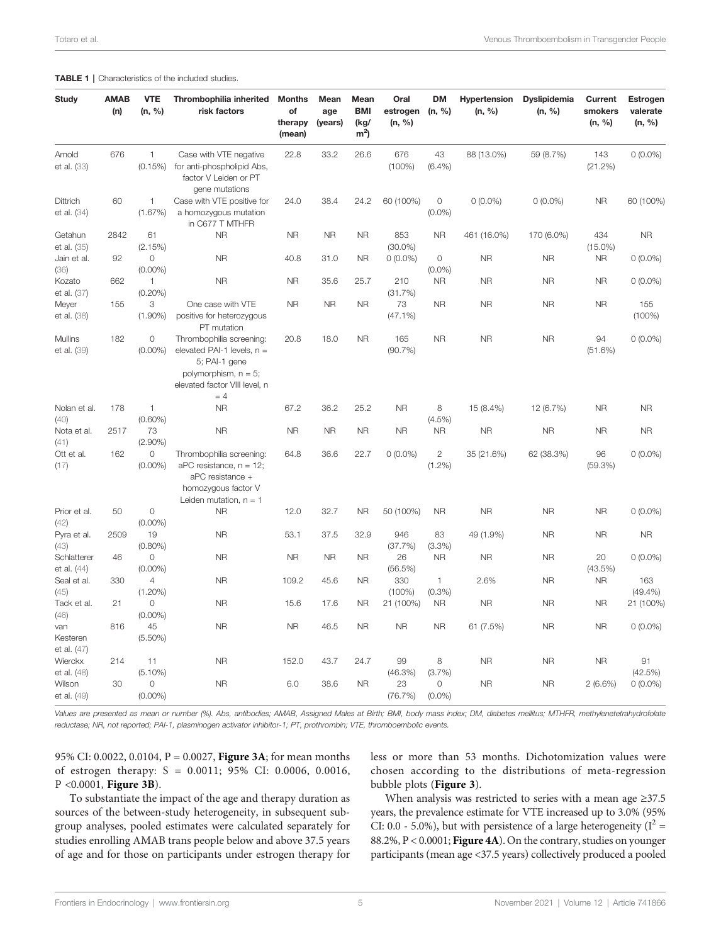#### <span id="page-4-0"></span>TABLE 1 | Characteristics of the included studies.

| <b>Study</b>                   | <b>AMAB</b><br>(n) | <b>VTE</b><br>(n, %)         | Thrombophilia inherited<br>risk factors                                                                                                        | <b>Months</b><br>of<br>therapy<br>(mean) | Mean<br>age<br>(years) | Mean<br><b>BMI</b><br>(kg/<br>m <sup>2</sup> | Oral<br>estrogen<br>(n, %) | DM<br>(n, %)              | Hypertension<br>(n, %) | <b>Dyslipidemia</b><br>(n, %) | <b>Current</b><br>smokers<br>(n, %) | Estrogen<br>valerate<br>(n, %) |
|--------------------------------|--------------------|------------------------------|------------------------------------------------------------------------------------------------------------------------------------------------|------------------------------------------|------------------------|----------------------------------------------|----------------------------|---------------------------|------------------------|-------------------------------|-------------------------------------|--------------------------------|
| Arnold<br>et al. (33)          | 676                | $\mathbf{1}$<br>(0.15%)      | Case with VTE negative<br>for anti-phospholipid Abs,<br>factor V Leiden or PT<br>gene mutations                                                | 22.8                                     | 33.2                   | 26.6                                         | 676<br>$(100\%)$           | 43<br>$(6.4\%)$           | 88 (13.0%)             | 59 (8.7%)                     | 143<br>(21.2%)                      | $0(0.0\%)$                     |
| Dittrich<br>et al. (34)        | 60                 | 1<br>(1.67%)                 | Case with VTE positive for<br>a homozygous mutation<br>in C677 T MTHFR                                                                         | 24.0                                     | 38.4                   | 24.2                                         | 60 (100%)                  | $\circ$<br>$(0.0\%)$      | $0(0.0\%)$             | $0(0.0\%)$                    | <b>NR</b>                           | 60 (100%)                      |
| Getahun<br>et al. (35)         | 2842               | 61<br>(2.15%)                | <b>NR</b>                                                                                                                                      | <b>NR</b>                                | <b>NR</b>              | <b>NR</b>                                    | 853<br>$(30.0\%)$          | <b>NR</b>                 | 461 (16.0%)            | 170 (6.0%)                    | 434<br>$(15.0\%)$                   | <b>NR</b>                      |
| Jain et al.<br>(36)            | 92                 | $\circ$<br>$(0.00\%)$        | <b>NR</b>                                                                                                                                      | 40.8                                     | 31.0                   | <b>NR</b>                                    | $0(0.0\%)$                 | 0<br>$(0.0\%)$            | <b>NR</b>              | <b>NR</b>                     | <b>NR</b>                           | $0(0.0\%)$                     |
| Kozato<br>et al. (37)          | 662                | $\mathbf{1}$<br>$(0.20\%)$   | <b>NR</b>                                                                                                                                      | <b>NR</b>                                | 35.6                   | 25.7                                         | 210<br>(31.7%)             | <b>NR</b>                 | <b>NR</b>              | <b>NR</b>                     | <b>NR</b>                           | $0(0.0\%)$                     |
| Meyer<br>et al. (38)           | 155                | 3<br>$(1.90\%)$              | One case with VTE<br>positive for heterozygous<br>PT mutation                                                                                  | <b>NR</b>                                | <b>NR</b>              | <b>NR</b>                                    | 73<br>(47.1%)              | <b>NR</b>                 | <b>NR</b>              | <b>NR</b>                     | <b>NR</b>                           | 155<br>$(100\%)$               |
| Mullins<br>et al. (39)         | 182                | $\circ$<br>$(0.00\%)$        | Thrombophilia screening:<br>elevated PAI-1 levels, $n =$<br>5; PAI-1 gene<br>polymorphism, $n = 5$ ;<br>elevated factor VIII level, n<br>$= 4$ | 20.8                                     | 18.0                   | <b>NR</b>                                    | 165<br>(90.7%)             | <b>NR</b>                 | <b>NR</b>              | <b>NR</b>                     | 94<br>(51.6%)                       | $0(0.0\%)$                     |
| Nolan et al.<br>(40)           | 178                | $\mathbf{1}$<br>$(0.60\%)$   | <b>NR</b>                                                                                                                                      | 67.2                                     | 36.2                   | 25.2                                         | <b>NR</b>                  | 8<br>$(4.5\%)$            | 15 (8.4%)              | 12 (6.7%)                     | <b>NR</b>                           | <b>NR</b>                      |
| Nota et al.<br>(41)            | 2517               | 73<br>$(2.90\%)$             | <b>NR</b>                                                                                                                                      | <b>NR</b>                                | <b>NR</b>              | <b>NR</b>                                    | <b>NR</b>                  | <b>NR</b>                 | <b>NR</b>              | <b>NR</b>                     | <b>NR</b>                           | <b>NR</b>                      |
| Ott et al.<br>(17)             | 162                | $\circ$<br>$(0.00\%)$        | Thrombophilia screening:<br>$aPC$ resistance, $n = 12$ ;<br>aPC resistance +<br>homozygous factor V<br>Leiden mutation, $n = 1$                | 64.8                                     | 36.6                   | 22.7                                         | $0(0.0\%)$                 | $\mathbf{2}$<br>$(1.2\%)$ | 35 (21.6%)             | 62 (38.3%)                    | 96<br>(59.3%)                       | $0(0.0\%)$                     |
| Prior et al.<br>(42)           | 50                 | $\circ$<br>$(0.00\%)$        | <b>NR</b>                                                                                                                                      | 12.0                                     | 32.7                   | <b>NR</b>                                    | 50 (100%)                  | <b>NR</b>                 | <b>NR</b>              | <b>NR</b>                     | <b>NR</b>                           | $0(0.0\%)$                     |
| Pyra et al.<br>(43)            | 2509               | 19<br>$(0.80\%)$             | <b>NR</b>                                                                                                                                      | 53.1                                     | 37.5                   | 32.9                                         | 946<br>(37.7%)             | 83<br>(3.3%)              | 49 (1.9%)              | <b>NR</b>                     | <b>NR</b>                           | <b>NR</b>                      |
| Schlatterer<br>et al. (44)     | 46                 | $\circ$<br>$(0.00\%)$        | <b>NR</b>                                                                                                                                      | <b>NR</b>                                | <b>NR</b>              | <b>NR</b>                                    | 26<br>(56.5%)              | <b>NR</b>                 | <b>NR</b>              | <b>NR</b>                     | 20<br>$(43.5\%)$                    | $0(0.0\%)$                     |
| Seal et al.<br>(45)            | 330                | $\overline{4}$<br>$(1.20\%)$ | <b>NR</b>                                                                                                                                      | 109.2                                    | 45.6                   | <b>NR</b>                                    | 330<br>$(100\%)$           | $\mathbf{1}$<br>$(0.3\%)$ | 2.6%                   | <b>NR</b>                     | <b>NR</b>                           | 163<br>$(49.4\%)$              |
| Tack et al.<br>(46)            | 21                 | $\circ$<br>$(0.00\%)$        | <b>NR</b>                                                                                                                                      | 15.6                                     | 17.6                   | <b>NR</b>                                    | 21 (100%)                  | <b>NR</b>                 | <b>NR</b>              | <b>NR</b>                     | <b>NR</b>                           | 21 (100%)                      |
| van<br>Kesteren<br>et al. (47) | 816                | 45<br>$(5.50\%)$             | <b>NR</b>                                                                                                                                      | <b>NR</b>                                | 46.5                   | <b>NR</b>                                    | <b>NR</b>                  | <b>NR</b>                 | 61 (7.5%)              | <b>NR</b>                     | <b>NR</b>                           | $0(0.0\%)$                     |
| Wierckx<br>et al. (48)         | 214                | 11<br>$(5.10\%)$             | <b>NR</b>                                                                                                                                      | 152.0                                    | 43.7                   | 24.7                                         | 99<br>$(46.3\%)$           | 8<br>(3.7%)               | <b>NR</b>              | <b>NR</b>                     | <b>NR</b>                           | 91<br>(42.5%)                  |
| Wilson<br>et al. (49)          | 30                 | $\circ$<br>$(0.00\%)$        | <b>NR</b>                                                                                                                                      | 6.0                                      | 38.6                   | <b>NR</b>                                    | 23<br>(76.7%)              | 0<br>$(0.0\%)$            | <b>NR</b>              | <b>NR</b>                     | $2(6.6\%)$                          | $0(0.0\%)$                     |

Values are presented as mean or number (%). Abs, antibodies; AMAB, Assigned Males at Birth; BMI, body mass index; DM, diabetes mellitus; MTHFR, methylenetetrahydrofolate reductase; NR, not reported; PAI-1, plasminogen activator inhibitor-1; PT, prothrombin; VTE, thromboembolic events.

95% CI: 0.0022, 0.0104, P = 0.0027, **[Figure 3A](#page-6-0)**; for mean months of estrogen therapy: S = 0.0011; 95% CI: 0.0006, 0.0016, P <0.0001, [Figure 3B](#page-6-0)).

To substantiate the impact of the age and therapy duration as sources of the between-study heterogeneity, in subsequent subgroup analyses, pooled estimates were calculated separately for studies enrolling AMAB trans people below and above 37.5 years of age and for those on participants under estrogen therapy for less or more than 53 months. Dichotomization values were chosen according to the distributions of meta-regression bubble plots ([Figure 3](#page-6-0)).

When analysis was restricted to series with a mean age ≥37.5 years, the prevalence estimate for VTE increased up to 3.0% (95% CI: 0.0 - 5.0%), but with persistence of a large heterogeneity ( $I^2$  = 88.2%, P < 0.0001; [Figure 4A](#page-7-0)). On the contrary, studies on younger participants (mean age <37.5 years) collectively produced a pooled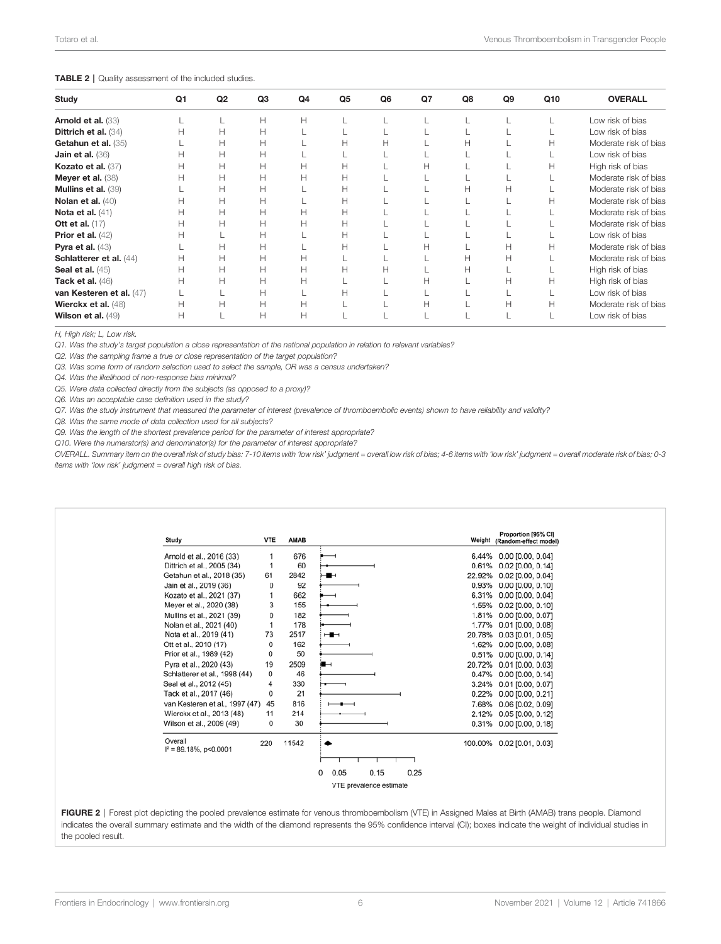#### <span id="page-5-0"></span>TABLE 2 | Quality assessment of the included studies.

| Study                    | Q <sub>1</sub> | Q <sub>2</sub> | Q3           | Q4 | Q <sub>5</sub> | Q <sub>6</sub> | Q7 | Q8 | Q <sub>9</sub> | Q10 | <b>OVERALL</b>        |
|--------------------------|----------------|----------------|--------------|----|----------------|----------------|----|----|----------------|-----|-----------------------|
| Arnold et al. (33)       |                |                | Н            | H  |                |                |    |    |                |     | Low risk of bias      |
| Dittrich et al. (34)     | н              | Н              | Н            |    |                |                |    |    |                |     | Low risk of bias      |
| Getahun et al. (35)      |                | Н              | Н            |    | н              |                |    |    |                | н   | Moderate risk of bias |
| Jain et al. (36)         |                | Н              | $\mathsf{H}$ |    |                |                |    |    |                |     | Low risk of bias      |
| Kozato et al. (37)       | н              | $\mathsf{H}$   | H            | H  | Н              |                | н  |    |                | н   | High risk of bias     |
| Meyer et al. (38)        |                | Н              | Н            | H  | н              |                |    |    |                |     | Moderate risk of bias |
| Mullins et al. (39)      |                | Н              | Н            |    | н              |                |    |    |                |     | Moderate risk of bias |
| Nolan et al. $(40)$      | H              | Н              | н            |    | Н              |                |    |    |                | н   | Moderate risk of bias |
| Nota et al. $(41)$       |                | Н              | Н            | Н  | Н              |                |    |    |                |     | Moderate risk of bias |
| <b>Ott et al.</b> (17)   |                | Н              | Н            | H  | Н              |                |    |    |                |     | Moderate risk of bias |
| Prior et al. $(42)$      |                |                | Н            |    | Н              |                |    |    |                |     | Low risk of bias      |
| Pyra et al. $(43)$       |                | Н              | Н            |    | н              |                | н  |    |                |     | Moderate risk of bias |
| Schlatterer et al. (44)  | н              | Н              | н            | H  |                |                |    | н  | н              |     | Moderate risk of bias |
| Seal et al. $(45)$       | н              | Н              | Н            | H  | н              |                |    | н  |                |     | High risk of bias     |
| Tack et al. $(46)$       | Н              | Н              | H            | H  |                |                | н  |    | н              | н   | High risk of bias     |
| van Kesteren et al. (47) |                |                | Н            |    | н              |                |    |    |                |     | Low risk of bias      |
| Wierckx et al. (48)      | Н              | Н              | Н            | Н  |                |                | н  |    |                | н   | Moderate risk of bias |
| Wilson et al. $(49)$     | Н              |                | Н            | H  |                |                |    |    |                |     | Low risk of bias      |

H, High risk; L, Low risk.

Q1. Was the study's target population a close representation of the national population in relation to relevant variables?

Q2. Was the sampling frame a true or close representation of the target population?

Q3. Was some form of random selection used to select the sample, OR was a census undertaken?

Q4. Was the likelihood of non-response bias minimal?

Q5. Were data collected directly from the subjects (as opposed to a proxy)?

Q6. Was an acceptable case definition used in the study?

Q7. Was the study instrument that measured the parameter of interest (prevalence of thromboembolic events) shown to have reliability and validity?

Q8. Was the same mode of data collection used for all subjects?

Q9. Was the length of the shortest prevalence period for the parameter of interest appropriate?

Q10. Were the numerator(s) and denominator(s) for the parameter of interest appropriate?

OVERALL. Summary item on the overall risk of study bias: 7-10 items with 'low risk' judgment = overall low risk of bias; 4-6 items with 'low risk' judgment = overall moderate risk of bias; 0-3 items with 'low risk' judgment = overall high risk of bias.

| Arnold et al., 2016 (33)                     |              | AMAB  |                           | Proportion [95% CI]<br>Weight (Random-effect model) |
|----------------------------------------------|--------------|-------|---------------------------|-----------------------------------------------------|
|                                              |              | 676   |                           | 6.44% 0.00 [0.00, 0.04]                             |
| Dittrich et al., 2005 (34)                   | 1            | 60    | 0.61%                     | 0.02 [0.00, 0.14]                                   |
| Getahun et al., 2018 (35)<br>61              |              | 2842  | ⊶                         | 22.92% 0.02 [0.00, 0.04]                            |
| Jain et al., 2019 (36)                       | 0            | 92    |                           | 0.93% 0.00 [0.00, 0.10]                             |
| Kozato et al., 2021 (37)                     | 1            | 662   |                           | 6.31% 0.00 [0.00, 0.04]                             |
| Meyer et al., 2020 (38)                      | 3            | 155   |                           | 1.55% 0.02 [0.00, 0.10]                             |
| Mullins et al., 2021 (39)                    | $\mathbf{0}$ | 182   |                           | 1.81% 0.00 [0.00, 0.07]                             |
| Nolan et al., 2021 (40)                      | $\mathbf{1}$ | 178   |                           | 1.77% 0.01 [0.00, 0.08]                             |
| 73<br>Nota et al., 2019 (41)                 |              | 2517  | ⊶                         | 20.78% 0.03 [0.01, 0.05]                            |
| Ott et al., 2010 (17)                        | $\Omega$     | 162   |                           | 1.62% 0.00 [0.00, 0.08]                             |
| Prior et al., 1989 (42)                      | 0            | 50    |                           | 0.51% 0.00 [0.00, 0.14]                             |
| Pyra et al., 2020 (43)<br>19                 |              | 2509  | ⊶                         | 20.72% 0.01 [0.00, 0.03]                            |
| Schlatterer et al., 1998 (44)                | 0            | 46    |                           | 0.47% 0.00 [0.00, 0.14]                             |
| Seal et al., 2012 (45)                       | 4            | 330   |                           | 3.24% 0.01 [0.00, 0.07]                             |
| Tack et al., 2017 (46)                       | 0            | 21    |                           | 0.22% 0.00 [0.00, 0.21]                             |
| van Kesteren et al., 1997 (47)               | 45           | 816   |                           | 7.68% 0.06 [0.02, 0.09]                             |
| Wierckx et al., 2013 (48)                    | 11           | 214   |                           | 2.12% 0.05 [0.00, 0.12]                             |
| Wilson et al., 2009 (49)                     | 0            | 30    |                           | 0.31% 0.00 [0.00, 0.18]                             |
| Overall<br>220<br>$I^2 = 89.18\%$ , p<0.0001 |              | 11542 |                           | 100.00% 0.02 [0.01, 0.03]                           |
|                                              |              |       |                           |                                                     |
|                                              |              |       | 0.15<br>0<br>0.05<br>0.25 |                                                     |

FIGURE 2 | Forest plot depicting the pooled prevalence estimate for venous thromboembolism (VTE) in Assigned Males at Birth (AMAB) trans people. Diamond indicates the overall summary estimate and the width of the diamond represents the 95% confidence interval (CI); boxes indicate the weight of individual studies in the pooled result.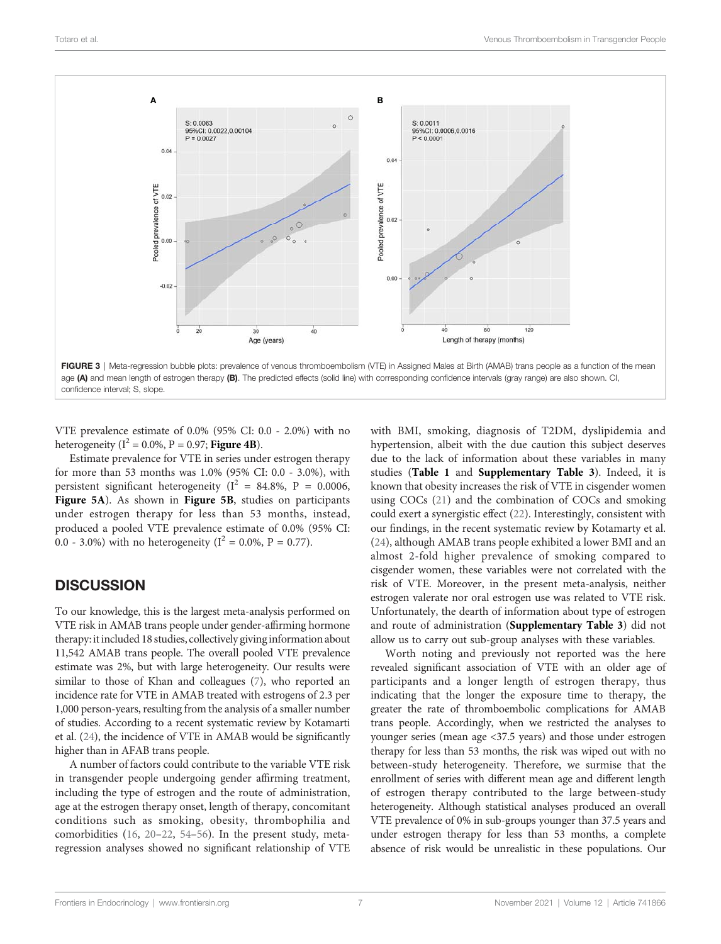<span id="page-6-0"></span>

VTE prevalence estimate of 0.0% (95% CI: 0.0 - 2.0%) with no heterogeneity ( $I^2 = 0.0\%$ , P = 0.97; **[Figure 4B](#page-7-0)**).

Estimate prevalence for VTE in series under estrogen therapy for more than 53 months was 1.0% (95% CI: 0.0 - 3.0%), with persistent significant heterogeneity ( $I^2 = 84.8\%$ , P = 0.0006, [Figure 5A](#page-8-0)). As shown in [Figure 5B](#page-8-0), studies on participants under estrogen therapy for less than 53 months, instead, produced a pooled VTE prevalence estimate of 0.0% (95% CI: 0.0 - 3.0%) with no heterogeneity ( $I^2 = 0.0\%$ , P = 0.77).

# **DISCUSSION**

To our knowledge, this is the largest meta-analysis performed on VTE risk in AMAB trans people under gender-affirming hormone therapy: it included 18 studies, collectively giving information about 11,542 AMAB trans people. The overall pooled VTE prevalence estimate was 2%, but with large heterogeneity. Our results were similar to those of Khan and colleagues [\(7](#page-9-0)), who reported an incidence rate for VTE in AMAB treated with estrogens of 2.3 per 1,000 person-years, resulting from the analysis of a smaller number of studies. According to a recent systematic review by Kotamarti et al. ([24\)](#page-9-0), the incidence of VTE in AMAB would be significantly higher than in AFAB trans people.

A number of factors could contribute to the variable VTE risk in transgender people undergoing gender affirming treatment, including the type of estrogen and the route of administration, age at the estrogen therapy onset, length of therapy, concomitant conditions such as smoking, obesity, thrombophilia and comorbidities ([16,](#page-9-0) [20](#page-9-0)–[22,](#page-9-0) [54](#page-10-0)–[56\)](#page-10-0). In the present study, metaregression analyses showed no significant relationship of VTE

with BMI, smoking, diagnosis of T2DM, dyslipidemia and hypertension, albeit with the due caution this subject deserves due to the lack of information about these variables in many studies ([Table 1](#page-4-0) and [Supplementary Table 3](#page-8-0)). Indeed, it is known that obesity increases the risk of VTE in cisgender women using COCs [\(21](#page-9-0)) and the combination of COCs and smoking could exert a synergistic effect [\(22](#page-9-0)). Interestingly, consistent with our findings, in the recent systematic review by Kotamarty et al. [\(24\)](#page-9-0), although AMAB trans people exhibited a lower BMI and an almost 2-fold higher prevalence of smoking compared to cisgender women, these variables were not correlated with the risk of VTE. Moreover, in the present meta-analysis, neither estrogen valerate nor oral estrogen use was related to VTE risk. Unfortunately, the dearth of information about type of estrogen and route of administration ([Supplementary Table 3](#page-8-0)) did not allow us to carry out sub-group analyses with these variables.

Worth noting and previously not reported was the here revealed significant association of VTE with an older age of participants and a longer length of estrogen therapy, thus indicating that the longer the exposure time to therapy, the greater the rate of thromboembolic complications for AMAB trans people. Accordingly, when we restricted the analyses to younger series (mean age <37.5 years) and those under estrogen therapy for less than 53 months, the risk was wiped out with no between-study heterogeneity. Therefore, we surmise that the enrollment of series with different mean age and different length of estrogen therapy contributed to the large between-study heterogeneity. Although statistical analyses produced an overall VTE prevalence of 0% in sub-groups younger than 37.5 years and under estrogen therapy for less than 53 months, a complete absence of risk would be unrealistic in these populations. Our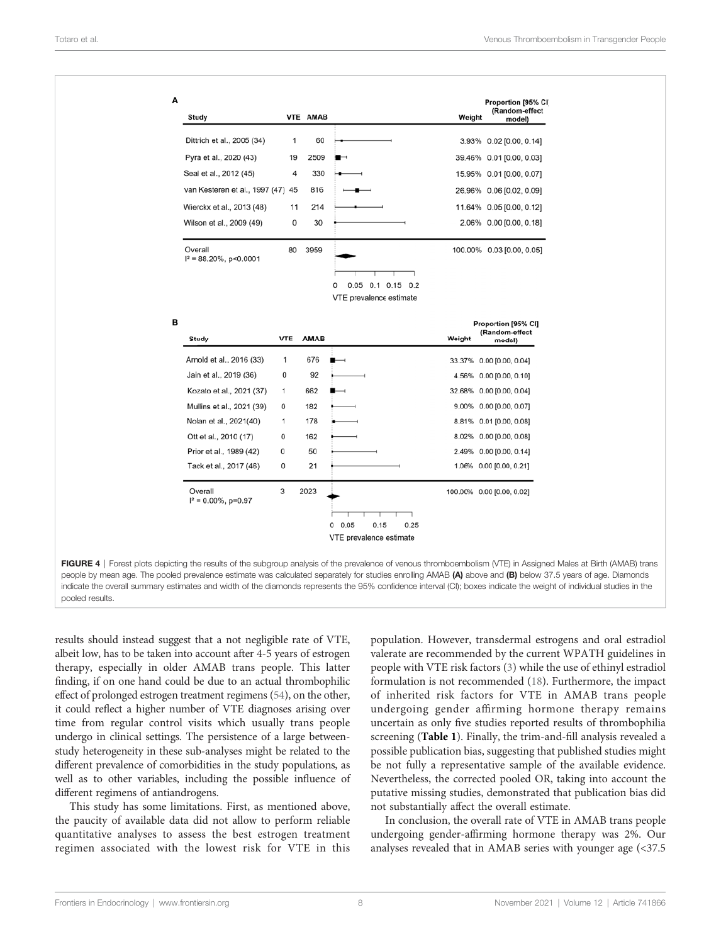<span id="page-7-0"></span>

| Study                                 |            | VTE AMAB    |                                                   | Proportion [95% CI]<br>(Random-effect<br>Weight<br>model) |
|---------------------------------------|------------|-------------|---------------------------------------------------|-----------------------------------------------------------|
| Dittrich et al., 2005 (34)            | 1          | 60          |                                                   | 3.93% 0.02 [0.00, 0.14]                                   |
| Pyra et al., 2020 (43)                | 19         | 2509        | ⊢                                                 | 39.46% 0.01 [0.00, 0.03]                                  |
| Seal et al., 2012 (45)                | 4          | 330         |                                                   | 15.95% 0.01 [0.00, 0.07]                                  |
| van Kesteren et al., 1997 (47) 45     |            | 816         |                                                   | 26.96% 0.06 [0.02, 0.09]                                  |
| Wierckx et al., 2013 (48)             | 11         | 214         |                                                   | 11.64% 0.05 [0.00, 0.12]                                  |
| Wilson et al., 2009 (49)              | 0          | 30          |                                                   | 2.06% 0.00 [0.00, 0.18]                                   |
| Overall<br>$I^2 = 88.20\%$ , p<0.0001 | 80         | 3959        | 0.05 0.1 0.15 0.2<br>0<br>VTE prevalence estimate | 100.00% 0.03 [0.00, 0.05]                                 |
| Study                                 | <b>VTE</b> | <b>AMAB</b> |                                                   | Proportion [95% CI]<br>(Random-effect<br>Weight<br>model) |
| Arnold et al., 2016 (33)              | 1          | 676         |                                                   | 33.37% 0.00 [0.00, 0.04]                                  |
| Jain et al., 2019 (36)                | 0          | 92          |                                                   | 4.56% 0.00 [0.00, 0.10]                                   |
| Kozato et al., 2021 (37)              | 1          | 662         |                                                   | 32.68% 0.00 [0.00, 0.04]                                  |
| Mullins et al., 2021 (39)             | 0          | 182         |                                                   | 9.00% 0.00 [0.00, 0.07]                                   |
| Nolan et al., 2021(40)                | 1          | 178         |                                                   | 8.81% 0.01 [0.00, 0.08]                                   |
| Ott et al., 2010 (17)                 | 0          | 162         |                                                   | 8.02% 0.00 [0.00, 0.08]                                   |
|                                       | 0          | 50          |                                                   | 2.49% 0.00 [0.00, 0.14]                                   |
| Prior et al., 1989 (42)               |            |             |                                                   | 1.06% 0.00 [0.00, 0.21]                                   |
| Tack et al., 2017 (46)                | 0          | 21          |                                                   |                                                           |

FIGURE 4 | Forest plots depicting the results of the subgroup analysis of the prevalence of venous thromboembolism (VTE) in Assigned Males at Birth (AMAB) trans people by mean age. The pooled prevalence estimate was calculated separately for studies enrolling AMAB (A) above and (B) below 37.5 years of age. Diamonds indicate the overall summary estimates and width of the diamonds represents the 95% confidence interval (CI); boxes indicate the weight of individual studies in the pooled results.

results should instead suggest that a not negligible rate of VTE, albeit low, has to be taken into account after 4-5 years of estrogen therapy, especially in older AMAB trans people. This latter finding, if on one hand could be due to an actual thrombophilic effect of prolonged estrogen treatment regimens [\(54\)](#page-10-0), on the other, it could reflect a higher number of VTE diagnoses arising over time from regular control visits which usually trans people undergo in clinical settings. The persistence of a large betweenstudy heterogeneity in these sub-analyses might be related to the different prevalence of comorbidities in the study populations, as well as to other variables, including the possible influence of different regimens of antiandrogens.

This study has some limitations. First, as mentioned above, the paucity of available data did not allow to perform reliable quantitative analyses to assess the best estrogen treatment regimen associated with the lowest risk for VTE in this

population. However, transdermal estrogens and oral estradiol valerate are recommended by the current WPATH guidelines in people with VTE risk factors ([3](#page-9-0)) while the use of ethinyl estradiol formulation is not recommended ([18\)](#page-9-0). Furthermore, the impact of inherited risk factors for VTE in AMAB trans people undergoing gender affirming hormone therapy remains uncertain as only five studies reported results of thrombophilia screening ([Table 1](#page-4-0)). Finally, the trim-and-fill analysis revealed a possible publication bias, suggesting that published studies might be not fully a representative sample of the available evidence. Nevertheless, the corrected pooled OR, taking into account the putative missing studies, demonstrated that publication bias did not substantially affect the overall estimate.

In conclusion, the overall rate of VTE in AMAB trans people undergoing gender-affirming hormone therapy was 2%. Our analyses revealed that in AMAB series with younger age (<37.5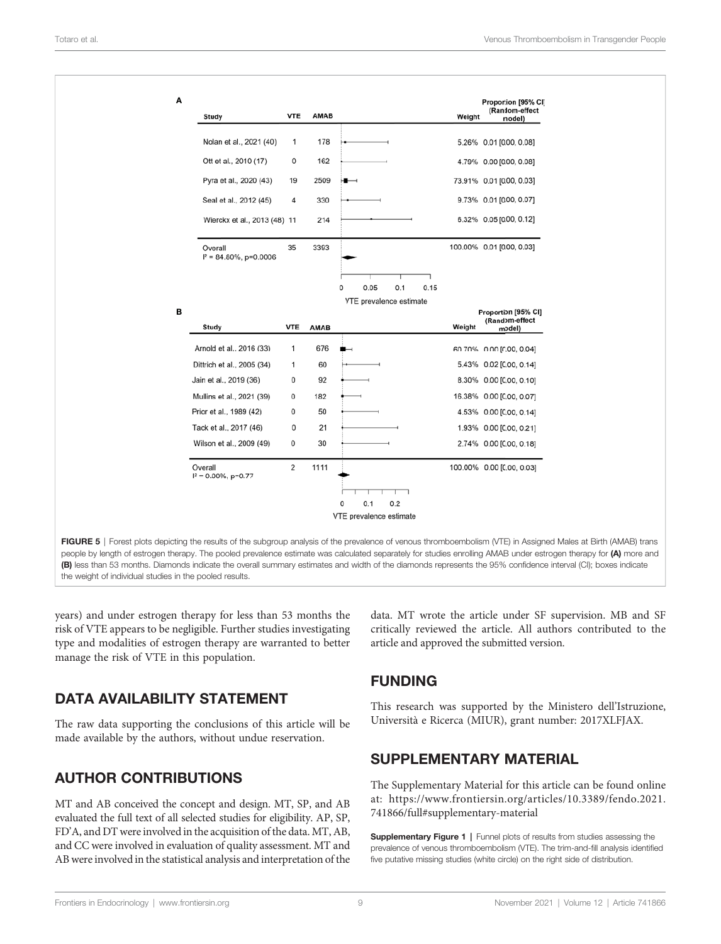<span id="page-8-0"></span>

| Α |                                       |             |             |                          |        | Proportion [95% CI]                             |
|---|---------------------------------------|-------------|-------------|--------------------------|--------|-------------------------------------------------|
|   | Study                                 | <b>VTE</b>  | <b>AMAB</b> |                          | Weight | (Random-effect<br>model)                        |
|   | Nolan et al., 2021 (40)               | $\mathbf 1$ | 178         |                          |        | 5.26% 0.01 [0.00, 0.08]                         |
|   | Ott et al., 2010 (17)                 | 0           | 162         |                          |        | 4.79% 0.00 [0.00, 0.08]                         |
|   | Pyra et al., 2020 (43)                | 19          | 2509        |                          |        | 73.91% 0.01 [0.00, 0.03]                        |
|   | Seal et al., 2012 (45)                | 4           | 330         |                          |        | 9.73% 0.01 [0.00, 0.07]                         |
|   | Wierckx et al., 2013 (48) 11          |             | 214         |                          |        | 6.32% 0.05 [0.00, 0.12]                         |
|   | Overall<br>$I^2 = 84.80\%$ , p=0.0006 | 35          | 3393        |                          |        | 100.00% 0.01 [0.00, 0.03]                       |
|   |                                       |             |             | 0.05<br>0.1<br>0.15<br>0 |        |                                                 |
|   |                                       |             |             | VTE prevalence estimate  |        |                                                 |
| в | Study                                 | <b>VTE</b>  | <b>AMAB</b> |                          | Weight | Proportion [95% CI]<br>(Random-effect<br>model) |
|   | Arnold et al., 2016 (33)              | 1           | 676         |                          |        | 60.70% 0.00 [0.00, 0.04]                        |
|   | Dittrich et al., 2005 (34)            | 1           | 60          |                          |        | 5.43% 0.02 [0.00, 0.14]                         |
|   | Jain et al., 2019 (36)                | 0           | 92          |                          |        | 8.30% 0.00 [0.00, 0.10]                         |
|   | Mullins et al., 2021 (39)             | 0           | 182         |                          |        | 16.38% 0.00 [0.00, 0.07]                        |
|   | Prior et al., 1989 (42)               | 0           | 50          |                          |        | 4.53% 0.00 [0.00, 0.14]                         |
|   | Tack et al., 2017 (46)                | 0           | 21          |                          |        | 1.93% 0.00 [0.00, 0.21]                         |
|   | Wilson et al., 2009 (49)              | 0           | 30          |                          |        | 2.74% 0.00 [0.00, 0.18]                         |
|   | Overall<br>$I^2 = 0.00\%$ , p=0.77    | 2           | 1111        |                          |        | 100.00% 0.00 [0.00, 0.03]                       |
|   |                                       |             |             | ┓<br>т                   |        |                                                 |
|   |                                       |             |             | 0.2<br>0.1<br>0          |        |                                                 |
|   |                                       |             |             | VTE prevalence estimate  |        |                                                 |

people by length of estrogen therapy. The pooled prevalence estimate was calculated separately for studies enrolling AMAB under estrogen therapy for (A) more and (B) less than 53 months. Diamonds indicate the overall summary estimates and width of the diamonds represents the 95% confidence interval (CI); boxes indicate the weight of individual studies in the pooled results.

years) and under estrogen therapy for less than 53 months the risk of VTE appears to be negligible. Further studies investigating type and modalities of estrogen therapy are warranted to better manage the risk of VTE in this population.

# DATA AVAILABILITY STATEMENT

The raw data supporting the conclusions of this article will be made available by the authors, without undue reservation.

# AUTHOR CONTRIBUTIONS

MT and AB conceived the concept and design. MT, SP, and AB evaluated the full text of all selected studies for eligibility. AP, SP, FD'A, and DT were involved in the acquisition of the data. MT, AB, and CC were involved in evaluation of quality assessment. MT and AB were involved in the statistical analysis and interpretation of the data. MT wrote the article under SF supervision. MB and SF critically reviewed the article. All authors contributed to the article and approved the submitted version.

# FUNDING

This research was supported by the Ministero dell'Istruzione, Università e Ricerca (MIUR), grant number: 2017XLFJAX.

# SUPPLEMENTARY MATERIAL

The Supplementary Material for this article can be found online at: [https://www.frontiersin.org/articles/10.3389/fendo.2021.](https://www.frontiersin.org/articles/10.3389/fendo.2021.741866/full#supplementary-material) [741866/full#supplementary-material](https://www.frontiersin.org/articles/10.3389/fendo.2021.741866/full#supplementary-material)

Supplementary Figure 1 | Funnel plots of results from studies assessing the prevalence of venous thromboembolism (VTE). The trim-and-fill analysis identified five putative missing studies (white circle) on the right side of distribution.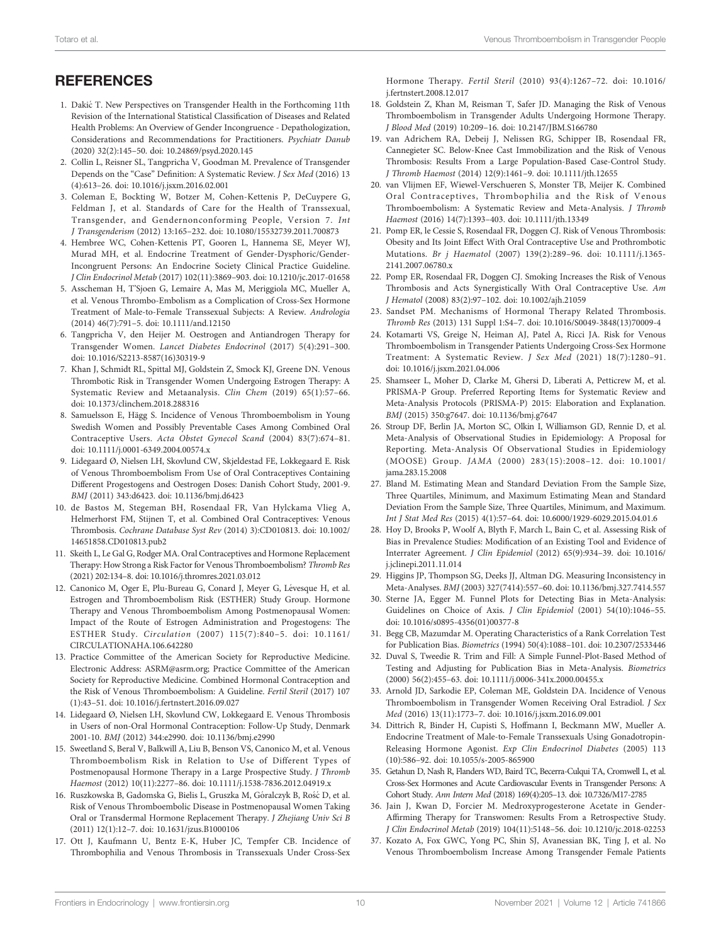# <span id="page-9-0"></span>**REFERENCES**

- 1. Dakić T. New Perspectives on Transgender Health in the Forthcoming 11th Revision of the International Statistical Classification of Diseases and Related Health Problems: An Overview of Gender Incongruence - Depathologization, Considerations and Recommendations for Practitioners. Psychiatr Danub (2020) 32(2):145–50. doi: [10.24869/psyd.2020.145](https://doi.org/10.24869/psyd.2020.145)
- 2. Collin L, Reisner SL, Tangpricha V, Goodman M. Prevalence of Transgender Depends on the "Case" Definition: A Systematic Review. J Sex Med (2016) 13 (4):613–26. doi: [10.1016/j.jsxm.2016.02.001](https://doi.org/10.1016/j.jsxm.2016.02.001)
- 3. Coleman E, Bockting W, Botzer M, Cohen-Kettenis P, DeCuypere G, Feldman J, et al. Standards of Care for the Health of Transsexual, Transgender, and Gendernonconforming People, Version 7. Int J Transgenderism (2012) 13:165–232. doi: [10.1080/15532739.2011.700873](https://doi.org/10.1080/15532739.2011.700873)
- 4. Hembree WC, Cohen-Kettenis PT, Gooren L, Hannema SE, Meyer WJ, Murad MH, et al. Endocrine Treatment of Gender-Dysphoric/Gender-Incongruent Persons: An Endocrine Society Clinical Practice Guideline. J Clin Endocrinol Metab (2017) 102(11):3869–903. doi: [10.1210/jc.2017-01658](https://doi.org/10.1210/jc.2017-01658)
- 5. Asscheman H, T'Sjoen G, Lemaire A, Mas M, Meriggiola MC, Mueller A, et al. Venous Thrombo-Embolism as a Complication of Cross-Sex Hormone Treatment of Male-to-Female Transsexual Subjects: A Review. Andrologia (2014) 46(7):791–5. doi: [10.1111/and.12150](https://doi.org/10.1111/and.12150)
- 6. Tangpricha V, den Heijer M. Oestrogen and Antiandrogen Therapy for Transgender Women. Lancet Diabetes Endocrinol (2017) 5(4):291–300. doi: [10.1016/S2213-8587\(16\)30319-9](https://doi.org/10.1016/S2213-8587(16)30319-9)
- 7. Khan J, Schmidt RL, Spittal MJ, Goldstein Z, Smock KJ, Greene DN. Venous Thrombotic Risk in Transgender Women Undergoing Estrogen Therapy: A Systematic Review and Metaanalysis. Clin Chem (2019) 65(1):57–66. doi: [10.1373/clinchem.2018.288316](https://doi.org/10.1373/clinchem.2018.288316)
- 8. Samuelsson E, Hägg S. Incidence of Venous Thromboembolism in Young Swedish Women and Possibly Preventable Cases Among Combined Oral Contraceptive Users. Acta Obstet Gynecol Scand (2004) 83(7):674–81. doi: [10.1111/j.0001-6349.2004.00574.x](https://doi.org/10.1111/j.0001-6349.2004.00574.x)
- 9. Lidegaard Ø, Nielsen LH, Skovlund CW, Skjeldestad FE, Lokkegaard E. Risk of Venous Thromboembolism From Use of Oral Contraceptives Containing Different Progestogens and Oestrogen Doses: Danish Cohort Study, 2001-9. BMJ (2011) 343:d6423. doi: [10.1136/bmj.d6423](https://doi.org/10.1136/bmj.d6423)
- 10. de Bastos M, Stegeman BH, Rosendaal FR, Van Hylckama Vlieg A, Helmerhorst FM, Stijnen T, et al. Combined Oral Contraceptives: Venous Thrombosis. Cochrane Database Syst Rev (2014) 3):CD010813. doi: [10.1002/](https://doi.org/10.1002/14651858.CD010813.pub2) [14651858.CD010813.pub2](https://doi.org/10.1002/14651858.CD010813.pub2)
- 11. Skeith L, Le Gal G, Rodger MA. Oral Contraceptives and Hormone Replacement Therapy: How Strong a Risk Factor for Venous Thromboembolism? Thromb Res (2021) 202:134–8. doi: [10.1016/j.thromres.2021.03.012](https://doi.org/10.1016/j.thromres.2021.03.012)
- 12. Canonico M, Oger E, Plu-Bureau G, Conard J, Meyer G, Lévesque H, et al. Estrogen and Thromboembolism Risk (ESTHER) Study Group. Hormone Therapy and Venous Thromboembolism Among Postmenopausal Women: Impact of the Route of Estrogen Administration and Progestogens: The ESTHER Study. Circulation (2007) 115(7):840–5. doi: [10.1161/](https://doi.org/10.1161/CIRCULATIONAHA.106.642280) [CIRCULATIONAHA.106.642280](https://doi.org/10.1161/CIRCULATIONAHA.106.642280)
- 13. Practice Committee of the American Society for Reproductive Medicine. Electronic Address: ASRM@asrm.org; Practice Committee of the American Society for Reproductive Medicine. Combined Hormonal Contraception and the Risk of Venous Thromboembolism: A Guideline. Fertil Steril (2017) 107 (1):43–51. doi: [10.1016/j.fertnstert.2016.09.027](https://doi.org/10.1016/j.fertnstert.2016.09.027)
- 14. Lidegaard Ø, Nielsen LH, Skovlund CW, Lokkegaard E. Venous Thrombosis in Users of non-Oral Hormonal Contraception: Follow-Up Study, Denmark 2001-10. BMJ (2012) 344:e2990. doi: [10.1136/bmj.e2990](https://doi.org/10.1136/bmj.e2990)
- 15. Sweetland S, Beral V, Balkwill A, Liu B, Benson VS, Canonico M, et al. Venous Thromboembolism Risk in Relation to Use of Different Types of Postmenopausal Hormone Therapy in a Large Prospective Study. J Thromb Haemost (2012) 10(11):2277–86. doi: [10.1111/j.1538-7836.2012.04919.x](https://doi.org/10.1111/j.1538-7836.2012.04919.x)
- 16. Ruszkowska B, Gadomska G, Bielis L, Gruszka M, Góralczyk B, Rość D, et al. Risk of Venous Thromboembolic Disease in Postmenopausal Women Taking Oral or Transdermal Hormone Replacement Therapy. J Zhejiang Univ Sci B (2011) 12(1):12–7. doi: [10.1631/jzus.B1000106](https://doi.org/10.1631/jzus.B1000106)
- 17. Ott J, Kaufmann U, Bentz E-K, Huber JC, Tempfer CB. Incidence of Thrombophilia and Venous Thrombosis in Transsexuals Under Cross-Sex

Hormone Therapy. Fertil Steril (2010) 93(4):1267–72. doi: [10.1016/](https://doi.org/10.1016/j.fertnstert.2008.12.017) [j.fertnstert.2008.12.017](https://doi.org/10.1016/j.fertnstert.2008.12.017)

- 18. Goldstein Z, Khan M, Reisman T, Safer JD. Managing the Risk of Venous Thromboembolism in Transgender Adults Undergoing Hormone Therapy. J Blood Med (2019) 10:209–16. doi: [10.2147/JBM.S166780](https://doi.org/10.2147/JBM.S166780)
- 19. van Adrichem RA, Debeij J, Nelissen RG, Schipper IB, Rosendaal FR, Cannegieter SC. Below-Knee Cast Immobilization and the Risk of Venous Thrombosis: Results From a Large Population-Based Case-Control Study. J Thromb Haemost (2014) 12(9):1461–9. doi: [10.1111/jth.12655](https://doi.org/10.1111/jth.12655)
- 20. van Vlijmen EF, Wiewel-Verschueren S, Monster TB, Meijer K. Combined Oral Contraceptives, Thrombophilia and the Risk of Venous Thromboembolism: A Systematic Review and Meta-Analysis. J Thromb Haemost (2016) 14(7):1393–403. doi: [10.1111/jth.13349](https://doi.org/10.1111/jth.13349)
- 21. Pomp ER, le Cessie S, Rosendaal FR, Doggen CJ. Risk of Venous Thrombosis: Obesity and Its Joint Effect With Oral Contraceptive Use and Prothrombotic Mutations. Br j Haematol (2007) 139(2):289–96. doi: [10.1111/j.1365-](https://doi.org/10.1111/j.1365-2141.2007.06780.x) [2141.2007.06780.x](https://doi.org/10.1111/j.1365-2141.2007.06780.x)
- 22. Pomp ER, Rosendaal FR, Doggen CJ. Smoking Increases the Risk of Venous Thrombosis and Acts Synergistically With Oral Contraceptive Use. Am J Hematol (2008) 83(2):97–102. doi: [10.1002/ajh.21059](https://doi.org/10.1002/ajh.21059)
- 23. Sandset PM. Mechanisms of Hormonal Therapy Related Thrombosis. Thromb Res (2013) 131 Suppl 1:S4–7. doi: [10.1016/S0049-3848\(13\)70009-4](https://doi.org/10.1016/S0049-3848(13)70009-4)
- 24. Kotamarti VS, Greige N, Heiman AJ, Patel A, Ricci JA. Risk for Venous Thromboembolism in Transgender Patients Undergoing Cross-Sex Hormone Treatment: A Systematic Review. J Sex Med (2021) 18(7):1280–91. doi: [10.1016/j.jsxm.2021.04.006](https://doi.org/10.1016/j.jsxm.2021.04.006)
- 25. Shamseer L, Moher D, Clarke M, Ghersi D, Liberati A, Petticrew M, et al. PRISMA-P Group. Preferred Reporting Items for Systematic Review and Meta-Analysis Protocols (PRISMA-P) 2015: Elaboration and Explanation. BMJ (2015) 350:g7647. doi: [10.1136/bmj.g7647](https://doi.org/10.1136/bmj.g7647)
- 26. Stroup DF, Berlin JA, Morton SC, Olkin I, Williamson GD, Rennie D, et al. Meta-Analysis of Observational Studies in Epidemiology: A Proposal for Reporting. Meta-Analysis Of Observational Studies in Epidemiology (MOOSE) Group. JAMA (2000) 283(15):2008–12. doi: [10.1001/](https://doi.org/10.1001/jama.283.15.2008) [jama.283.15.2008](https://doi.org/10.1001/jama.283.15.2008)
- 27. Bland M. Estimating Mean and Standard Deviation From the Sample Size, Three Quartiles, Minimum, and Maximum Estimating Mean and Standard Deviation From the Sample Size, Three Quartiles, Minimum, and Maximum. Int J Stat Med Res (2015) 4(1):57–64. doi: [10.6000/1929-6029.2015.04.01.6](https://doi.org/10.6000/1929-6029.2015.04.01.6)
- 28. Hoy D, Brooks P, Woolf A, Blyth F, March L, Bain C, et al. Assessing Risk of Bias in Prevalence Studies: Modification of an Existing Tool and Evidence of Interrater Agreement. J Clin Epidemiol (2012) 65(9):934–39. doi: [10.1016/](https://doi.org/10.1016/j.jclinepi.2011.11.014) [j.jclinepi.2011.11.014](https://doi.org/10.1016/j.jclinepi.2011.11.014)
- 29. Higgins JP, Thompson SG, Deeks JJ, Altman DG. Measuring Inconsistency in Meta-Analyses. BMJ (2003) 327(7414):557–60. doi: [10.1136/bmj.327.7414.557](https://doi.org/10.1136/bmj.327.7414.557)
- 30. Sterne JA, Egger M. Funnel Plots for Detecting Bias in Meta-Analysis: Guidelines on Choice of Axis. J Clin Epidemiol (2001) 54(10):1046–55. doi: [10.1016/s0895-4356\(01\)00377-8](https://doi.org/10.1016/s0895-4356(01)00377-8)
- 31. Begg CB, Mazumdar M. Operating Characteristics of a Rank Correlation Test for Publication Bias. Biometrics (1994) 50(4):1088–101. doi: [10.2307/2533446](https://doi.org/10.2307/2533446)
- 32. Duval S, Tweedie R. Trim and Fill: A Simple Funnel-Plot-Based Method of Testing and Adjusting for Publication Bias in Meta-Analysis. Biometrics (2000) 56(2):455–63. doi: [10.1111/j.0006-341x.2000.00455.x](https://doi.org/10.1111/j.0006-341x.2000.00455.x)
- 33. Arnold JD, Sarkodie EP, Coleman ME, Goldstein DA. Incidence of Venous Thromboembolism in Transgender Women Receiving Oral Estradiol. J Sex Med (2016) 13(11):1773–7. doi: [10.1016/j.jsxm.2016.09.001](https://doi.org/10.1016/j.jsxm.2016.09.001)
- 34. Dittrich R, Binder H, Cupisti S, Hoffmann I, Beckmann MW, Mueller A. Endocrine Treatment of Male-to-Female Transsexuals Using Gonadotropin-Releasing Hormone Agonist. Exp Clin Endocrinol Diabetes (2005) 113 (10):586–92. doi: [10.1055/s-2005-865900](https://doi.org/10.1055/s-2005-865900)
- 35. Getahun D, Nash R, Flanders WD, Baird TC, Becerra-Culqui TA, Cromwell L, et al. Cross-Sex Hormones and Acute Cardiovascular Events in Transgender Persons: A Cohort Study. Ann Intern Med (2018) 169(4):205–13. doi: [10.7326/M17-2785](https://doi.org/10.7326/M17-2785)
- 36. Jain J, Kwan D, Forcier M. Medroxyprogesterone Acetate in Gender-Affirming Therapy for Transwomen: Results From a Retrospective Study. J Clin Endocrinol Metab (2019) 104(11):5148–56. doi: [10.1210/jc.2018-02253](https://doi.org/10.1210/jc.2018-02253)
- 37. Kozato A, Fox GWC, Yong PC, Shin SJ, Avanessian BK, Ting J, et al. No Venous Thromboembolism Increase Among Transgender Female Patients